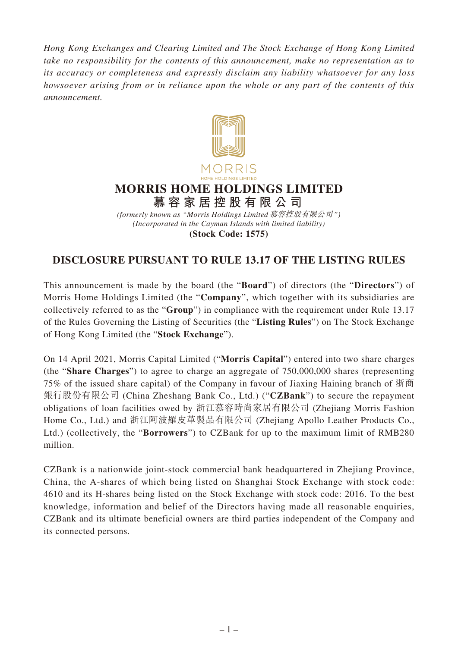*Hong Kong Exchanges and Clearing Limited and The Stock Exchange of Hong Kong Limited take no responsibility for the contents of this announcement, make no representation as to its accuracy or completeness and expressly disclaim any liability whatsoever for any loss howsoever arising from or in reliance upon the whole or any part of the contents of this announcement.*



## **MORRIS HOME HOLDINGS LIMITED 慕容家居控股有限公司**

*(Incorporated in the Cayman Islands with limited liability)* **(Stock Code: 1575)** *(formerly known as "Morris Holdings Limited* 慕容控股有限公司*")*

## **DISCLOSURE PURSUANT TO RULE 13.17 OF THE LISTING RULES**

This announcement is made by the board (the "**Board**") of directors (the "**Directors**") of Morris Home Holdings Limited (the "**Company**", which together with its subsidiaries are collectively referred to as the "**Group**") in compliance with the requirement under Rule 13.17 of the Rules Governing the Listing of Securities (the "**Listing Rules**") on The Stock Exchange of Hong Kong Limited (the "**Stock Exchange**").

On 14 April 2021, Morris Capital Limited ("**Morris Capital**") entered into two share charges (the "**Share Charges**") to agree to charge an aggregate of 750,000,000 shares (representing 75% of the issued share capital) of the Company in favour of Jiaxing Haining branch of 浙商 銀行股份有限公司 (China Zheshang Bank Co., Ltd.) ("**CZBank**") to secure the repayment obligations of loan facilities owed by 浙江慕容時尚家居有限公司 (Zhejiang Morris Fashion Home Co., Ltd.) and 浙江阿波羅皮革製品有限公司 (Zhejiang Apollo Leather Products Co., Ltd.) (collectively, the "**Borrowers**") to CZBank for up to the maximum limit of RMB280 million.

CZBank is a nationwide joint-stock commercial bank headquartered in Zhejiang Province, China, the A-shares of which being listed on Shanghai Stock Exchange with stock code: 4610 and its H-shares being listed on the Stock Exchange with stock code: 2016. To the best knowledge, information and belief of the Directors having made all reasonable enquiries, CZBank and its ultimate beneficial owners are third parties independent of the Company and its connected persons.